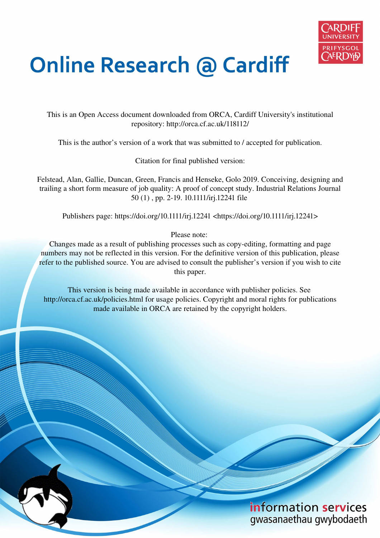

# **Online Research @ Cardiff**

This is an Open Access document downloaded from ORCA, Cardiff University's institutional repository: http://orca.cf.ac.uk/118112/

This is the author's version of a work that was submitted to / accepted for publication.

Citation for final published version:

Felstead, Alan, Gallie, Duncan, Green, Francis and Henseke, Golo 2019. Conceiving, designing and trailing a short form measure of job quality: A proof of concept study. Industrial Relations Journal 50 (1) , pp. 2-19. 10.1111/irj.12241 file

Publishers page: https://doi.org/10.1111/irj.12241 <https://doi.org/10.1111/irj.12241>

Please note:

Changes made as a result of publishing processes such as copy-editing, formatting and page numbers may not be reflected in this version. For the definitive version of this publication, please refer to the published source. You are advised to consult the publisher's version if you wish to cite this paper.

This version is being made available in accordance with publisher policies. See http://orca.cf.ac.uk/policies.html for usage policies. Copyright and moral rights for publications made available in ORCA are retained by the copyright holders.

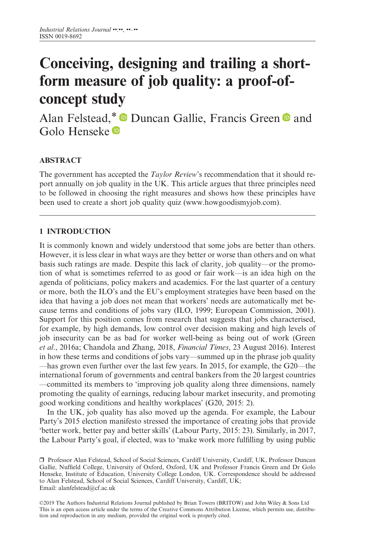# Conceiving, designing and trailing a shortform measure of job quality: a proof-ofconcept study

Alan Felstead,\*  $\bullet$  Duncan Gallie, Francis Green  $\bullet$  and Golo Henseke<sup>®</sup>

## ABSTRACT

The government has accepted the *Taylor Review*'s recommendation that it should report annually on job quality in the UK. This article argues that three principles need to be followed in choosing the right measures and shows how these principles have been used to create a short job quality quiz [\(www.howgoodismyjob.com\)](http://www.howgoodismyjob.com).

## 1 INTRODUCTION

It is commonly known and widely understood that some jobs are better than others. However, it is less clear in what ways are they better or worse than others and on what basis such ratings are made. Despite this lack of clarity, job quality—or the promotion of what is sometimes referred to as good or fair work—is an idea high on the agenda of politicians, policy makers and academics. For the last quarter of a century or more, both the ILO's and the EU's employment strategies have been based on the idea that having a job does not mean that workers' needs are automatically met because terms and conditions of jobs vary (ILO, 1999; European Commission, 2001). Support for this position comes from research that suggests that jobs characterised, for example, by high demands, low control over decision making and high levels of job insecurity can be as bad for worker well-being as being out of work (Green *et al*., 2016a; Chandola and Zhang, 2018, *Financial Times*, 23 August 2016). Interest in how these terms and conditions of jobs vary—summed up in the phrase job quality —has grown even further over the last few years. In 2015, for example, the G20—the international forum of governments and central bankers from the 20 largest countries —committed its members to 'improving job quality along three dimensions, namely promoting the quality of earnings, reducing labour market insecurity, and promoting good working conditions and healthy workplaces' (G20, 2015: 2).

In the UK, job quality has also moved up the agenda. For example, the Labour Party's 2015 election manifesto stressed the importance of creating jobs that provide 'better work, better pay and better skills' (Labour Party, 2015: 23). Similarly, in 2017, the Labour Party's goal, if elected, was to 'make work more fulfilling by using public

©2019 The Authors Industrial Relations Journal published by Brian Towers (BRITOW) and John Wiley & Sons Ltd This is an open access article under the terms of the [Creative Commons Attribution](http://creativecommons.org/licenses/by/4.0/) License, which permits use, distribution and reproduction in any medium, provided the original work is properly cited.

<sup>❒</sup> Professor Alan Felstead, School of Social Sciences, Cardiff University, Cardiff, UK, Professor Duncan Gallie, Nuffield College, University of Oxford, Oxford, UK and Professor Francis Green and Dr Golo Henseke, Institute of Education, University College London, UK. Correspondence should be addressed to Alan Felstead, School of Social Sciences, Cardiff University, Cardiff, UK; Email: alanfelstead@cf.ac.uk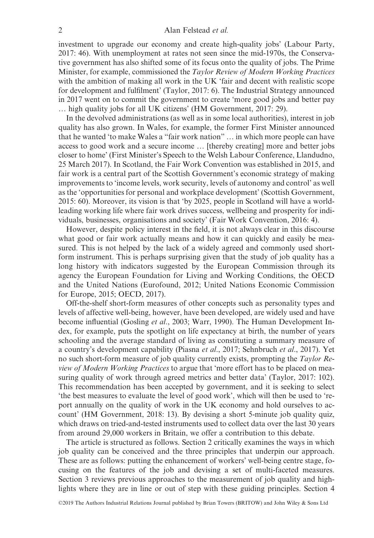investment to upgrade our economy and create high-quality jobs' (Labour Party, 2017: 46). With unemployment at rates not seen since the mid-1970s, the Conservative government has also shifted some of its focus onto the quality of jobs. The Prime Minister, for example, commissioned the *Taylor Review of Modern Working Practices* with the ambition of making all work in the UK 'fair and decent with realistic scope for development and fulfilment' (Taylor, 2017: 6). The Industrial Strategy announced in 2017 went on to commit the government to create 'more good jobs and better pay … high quality jobs for all UK citizens' (HM Government, 2017: 29).

In the devolved administrations (as well as in some local authorities), interest in job quality has also grown. In Wales, for example, the former First Minister announced that he wanted 'to make Wales a "fair work nation" … in which more people can have access to good work and a secure income … [thereby creating] more and better jobs closer to home' (First Minister's Speech to the Welsh Labour Conference, Llandudno, 25 March 2017). In Scotland, the Fair Work Convention was established in 2015, and fair work is a central part of the Scottish Government's economic strategy of making improvements to 'income levels, work security, levels of autonomy and control' as well as the 'opportunities for personal and workplace development' (Scottish Government, 2015: 60). Moreover, its vision is that 'by 2025, people in Scotland will have a worldleading working life where fair work drives success, wellbeing and prosperity for individuals, businesses, organisations and society' (Fair Work Convention, 2016: 4).

However, despite policy interest in the field, it is not always clear in this discourse what good or fair work actually means and how it can quickly and easily be measured. This is not helped by the lack of a widely agreed and commonly used shortform instrument. This is perhaps surprising given that the study of job quality has a long history with indicators suggested by the European Commission through its agency the European Foundation for Living and Working Conditions, the OECD and the United Nations (Eurofound, 2012; United Nations Economic Commission for Europe, 2015; OECD, 2017).

Off-the-shelf short-form measures of other concepts such as personality types and levels of affective well-being, however, have been developed, are widely used and have become influential (Gosling *et al*., 2003; Warr, 1990). The Human Development Index, for example, puts the spotlight on life expectancy at birth, the number of years schooling and the average standard of living as constituting a summary measure of a country's development capability (Piasna *et al*., 2017; Sehnbruch *et al*., 2017). Yet no such short-form measure of job quality currently exists, prompting the *Taylor Review of Modern Working Practices* to argue that 'more effort has to be placed on measuring quality of work through agreed metrics and better data' (Taylor, 2017: 102). This recommendation has been accepted by government, and it is seeking to select 'the best measures to evaluate the level of good work', which will then be used to 'report annually on the quality of work in the UK economy and hold ourselves to account' (HM Government, 2018: 13). By devising a short 5-minute job quality quiz, which draws on tried-and-tested instruments used to collect data over the last 30 years from around 29,000 workers in Britain, we offer a contribution to this debate.

The article is structured as follows. Section 2 critically examines the ways in which job quality can be conceived and the three principles that underpin our approach. These are as follows: putting the enhancement of workers' well-being centre stage, focusing on the features of the job and devising a set of multi-faceted measures. Section 3 reviews previous approaches to the measurement of job quality and highlights where they are in line or out of step with these guiding principles. Section 4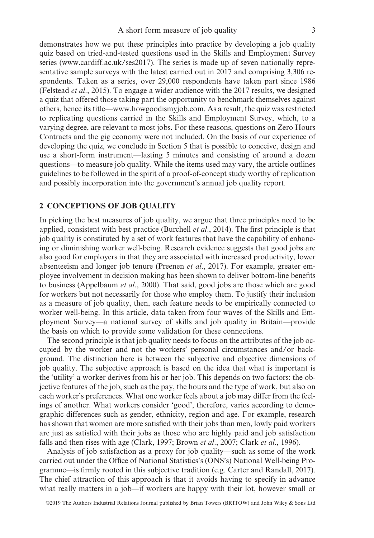demonstrates how we put these principles into practice by developing a job quality quiz based on tried-and-tested questions used in the Skills and Employment Survey series [\(www.cardiff.ac.uk/ses2017](http://www.cardiff.ac.uk/ses2017)). The series is made up of seven nationally representative sample surveys with the latest carried out in 2017 and comprising 3,306 respondents. Taken as a series, over 29,000 respondents have taken part since 1986 (Felstead *et al*., 2015). To engage a wider audience with the 2017 results, we designed a quiz that offered those taking part the opportunity to benchmark themselves against others, hence its title—[www.howgoodismyjob.com](http://www.howgoodismyjob.com). As a result, the quiz was restricted to replicating questions carried in the Skills and Employment Survey, which, to a varying degree, are relevant to most jobs. For these reasons, questions on Zero Hours Contracts and the gig economy were not included. On the basis of our experience of developing the quiz, we conclude in Section 5 that is possible to conceive, design and use a short-form instrument—lasting 5 minutes and consisting of around a dozen questions—to measure job quality. While the items used may vary, the article outlines guidelines to be followed in the spirit of a proof-of-concept study worthy of replication and possibly incorporation into the government's annual job quality report.

#### 2 CONCEPTIONS OF JOB QUALITY

In picking the best measures of job quality, we argue that three principles need to be applied, consistent with best practice (Burchell *et al*., 2014). The first principle is that job quality is constituted by a set of work features that have the capability of enhancing or diminishing worker well-being. Research evidence suggests that good jobs are also good for employers in that they are associated with increased productivity, lower absenteeism and longer job tenure (Preenen *et al*., 2017). For example, greater employee involvement in decision making has been shown to deliver bottom-line benefits to business (Appelbaum *et al*., 2000). That said, good jobs are those which are good for workers but not necessarily for those who employ them. To justify their inclusion as a measure of job quality, then, each feature needs to be empirically connected to worker well-being. In this article, data taken from four waves of the Skills and Employment Survey—a national survey of skills and job quality in Britain—provide the basis on which to provide some validation for these connections.

The second principle is that job quality needs to focus on the attributes of the job occupied by the worker and not the workers' personal circumstances and/or background. The distinction here is between the subjective and objective dimensions of job quality. The subjective approach is based on the idea that what is important is the 'utility' a worker derives from his or her job. This depends on two factors: the objective features of the job, such as the pay, the hours and the type of work, but also on each worker's preferences. What one worker feels about a job may differ from the feelings of another. What workers consider 'good', therefore, varies according to demographic differences such as gender, ethnicity, region and age. For example, research has shown that women are more satisfied with their jobs than men, lowly paid workers are just as satisfied with their jobs as those who are highly paid and job satisfaction falls and then rises with age (Clark, 1997; Brown *et al*., 2007; Clark *et al*., 1996).

Analysis of job satisfaction as a proxy for job quality—such as some of the work carried out under the Office of National Statistics's (ONS's) National Well-being Programme—is firmly rooted in this subjective tradition (e.g. Carter and Randall, 2017). The chief attraction of this approach is that it avoids having to specify in advance what really matters in a job—if workers are happy with their lot, however small or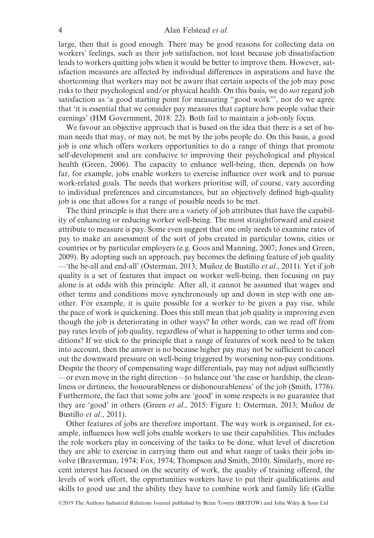large, then that is good enough. There may be good reasons for collecting data on workers' feelings, such as their job satisfaction, not least because job dissatisfaction leads to workers quitting jobs when it would be better to improve them. However, satisfaction measures are affected by individual differences in aspirations and have the shortcoming that workers may not be aware that certain aspects of the job may pose risks to their psychological and/or physical health. On this basis, we do *not* regard job satisfaction as 'a good starting point for measuring "good work"', nor do we agree that 'it is essential that we consider pay measures that capture how people value their earnings' (HM Government, 2018: 22). Both fail to maintain a job-only focus.

We favour an objective approach that is based on the idea that there is a set of human needs that may, or may not, be met by the jobs people do. On this basis, a good job is one which offers workers opportunities to do a range of things that promote self-development and are conducive to improving their psychological and physical health (Green, 2006). The capacity to enhance well-being, then, depends on how far, for example, jobs enable workers to exercise influence over work and to pursue work-related goals. The needs that workers prioritise will, of course, vary according to individual preferences and circumstances, but an objectively defined high-quality job is one that allows for a range of possible needs to be met.

The third principle is that there are a variety of job attributes that have the capability of enhancing or reducing worker well-being. The most straightforward and easiest attribute to measure is pay. Some even suggest that one only needs to examine rates of pay to make an assessment of the sort of jobs created in particular towns, cities or countries or by particular employers (e.g. Goos and Manning, 2007; Jones and Green, 2009). By adopting such an approach, pay becomes the defining feature of job quality —'the be-all and end-all' (Osterman, 2013; Muñoz de Bustillo *et al*., 2011). Yet if job quality is a set of features that impact on worker well-being, then focusing on pay alone is at odds with this principle. After all, it cannot be assumed that wages and other terms and conditions move synchronously up and down in step with one another. For example, it is quite possible for a worker to be given a pay rise, while the pace of work is quickening. Does this still mean that job quality is improving even though the job is deteriorating in other ways? In other words, can we read off from pay rates levels of job quality, regardless of what is happening to other terms and conditions? If we stick to the principle that a range of features of work need to be taken into account, then the answer is no because higher pay may not be sufficient to cancel out the downward pressure on well-being triggered by worsening non-pay conditions. Despite the theory of compensating wage differentials, pay may not adjust sufficiently —or even move in the right direction—to balance out 'the ease or hardship, the cleanliness or dirtiness, the honourableness or dishonourableness' of the job (Smith, 1776). Furthermore, the fact that some jobs are 'good' in some respects is no guarantee that they are 'good' in others (Green *et al*., 2015: Figure 1; Osterman, 2013; Muñoz de Bustillo *et al*., 2011).

Other features of jobs are therefore important. The way work is organised, for example, influences how well jobs enable workers to use their capabilities. This includes the role workers play in conceiving of the tasks to be done, what level of discretion they are able to exercise in carrying them out and what range of tasks their jobs involve (Braverman, 1974; Fox, 1974; Thompson and Smith, 2010). Similarly, more recent interest has focused on the security of work, the quality of training offered, the levels of work effort, the opportunities workers have to put their qualifications and skills to good use and the ability they have to combine work and family life (Gallie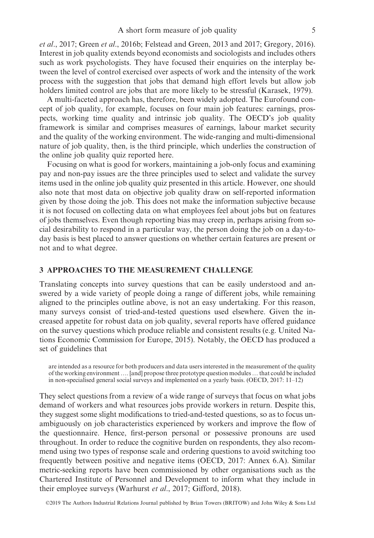*et al*., 2017; Green *et al*., 2016b; Felstead and Green, 2013 and 2017; Gregory, 2016). Interest in job quality extends beyond economists and sociologists and includes others such as work psychologists. They have focused their enquiries on the interplay between the level of control exercised over aspects of work and the intensity of the work process with the suggestion that jobs that demand high effort levels but allow job holders limited control are jobs that are more likely to be stressful (Karasek, 1979).

A multi-faceted approach has, therefore, been widely adopted. The Eurofound concept of job quality, for example, focuses on four main job features: earnings, prospects, working time quality and intrinsic job quality. The OECD's job quality framework is similar and comprises measures of earnings, labour market security and the quality of the working environment. The wide-ranging and multi-dimensional nature of job quality, then, is the third principle, which underlies the construction of the online job quality quiz reported here.

Focusing on what is good for workers, maintaining a job-only focus and examining pay and non-pay issues are the three principles used to select and validate the survey items used in the online job quality quiz presented in this article. However, one should also note that most data on objective job quality draw on self-reported information given by those doing the job. This does not make the information subjective because it is not focused on collecting data on what employees feel about jobs but on features of jobs themselves. Even though reporting bias may creep in, perhaps arising from social desirability to respond in a particular way, the person doing the job on a day-today basis is best placed to answer questions on whether certain features are present or not and to what degree.

#### 3 APPROACHES TO THE MEASUREMENT CHALLENGE

Translating concepts into survey questions that can be easily understood and answered by a wide variety of people doing a range of different jobs, while remaining aligned to the principles outline above, is not an easy undertaking. For this reason, many surveys consist of tried-and-tested questions used elsewhere. Given the increased appetite for robust data on job quality, several reports have offered guidance on the survey questions which produce reliable and consistent results (e.g. United Nations Economic Commission for Europe, 2015). Notably, the OECD has produced a set of guidelines that

are intended as a resource for both producers and data users interested in the measurement of the quality of the working environment …. [and] propose three prototype question modules … that could be included in non-specialised general social surveys and implemented on a yearly basis. (OECD, 2017: 11–12)

They select questions from a review of a wide range of surveys that focus on what jobs demand of workers and what resources jobs provide workers in return. Despite this, they suggest some slight modifications to tried-and-tested questions, so as to focus unambiguously on job characteristics experienced by workers and improve the flow of the questionnaire. Hence, first-person personal or possessive pronouns are used throughout. In order to reduce the cognitive burden on respondents, they also recommend using two types of response scale and ordering questions to avoid switching too frequently between positive and negative items (OECD, 2017: Annex 6.A). Similar metric-seeking reports have been commissioned by other organisations such as the Chartered Institute of Personnel and Development to inform what they include in their employee surveys (Warhurst *et al*., 2017; Gifford, 2018).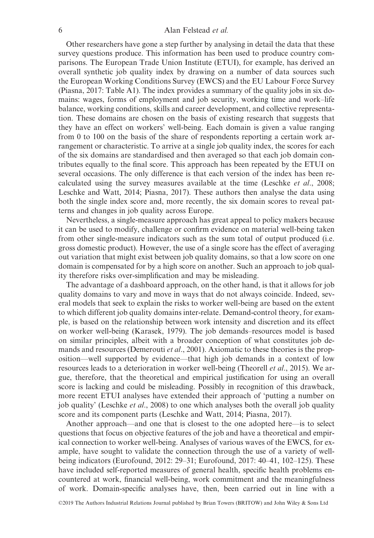Other researchers have gone a step further by analysing in detail the data that these survey questions produce. This information has been used to produce country comparisons. The European Trade Union Institute (ETUI), for example, has derived an overall synthetic job quality index by drawing on a number of data sources such the European Working Conditions Survey (EWCS) and the EU Labour Force Survey (Piasna, 2017: Table A1). The index provides a summary of the quality jobs in six domains: wages, forms of employment and job security, working time and work–life balance, working conditions, skills and career development, and collective representation. These domains are chosen on the basis of existing research that suggests that they have an effect on workers' well-being. Each domain is given a value ranging from 0 to 100 on the basis of the share of respondents reporting a certain work arrangement or characteristic. To arrive at a single job quality index, the scores for each of the six domains are standardised and then averaged so that each job domain contributes equally to the final score. This approach has been repeated by the ETUI on several occasions. The only difference is that each version of the index has been recalculated using the survey measures available at the time (Leschke *et al*., 2008; Leschke and Watt, 2014; Piasna, 2017). These authors then analyse the data using both the single index score and, more recently, the six domain scores to reveal patterns and changes in job quality across Europe.

Nevertheless, a single-measure approach has great appeal to policy makers because it can be used to modify, challenge or confirm evidence on material well-being taken from other single-measure indicators such as the sum total of output produced (i.e. gross domestic product). However, the use of a single score has the effect of averaging out variation that might exist between job quality domains, so that a low score on one domain is compensated for by a high score on another. Such an approach to job quality therefore risks over-simplification and may be misleading.

The advantage of a dashboard approach, on the other hand, is that it allows for job quality domains to vary and move in ways that do not always coincide. Indeed, several models that seek to explain the risks to worker well-being are based on the extent to which different job quality domains inter-relate. Demand-control theory, for example, is based on the relationship between work intensity and discretion and its effect on worker well-being (Karasek, 1979). The job demands–resources model is based on similar principles, albeit with a broader conception of what constitutes job demands and resources (Demerouti *et al*., 2001). Axiomatic to these theories is the proposition—well supported by evidence—that high job demands in a context of low resources leads to a deterioration in worker well-being (Theorell *et al*., 2015). We argue, therefore, that the theoretical and empirical justification for using an overall score is lacking and could be misleading. Possibly in recognition of this drawback, more recent ETUI analyses have extended their approach of 'putting a number on job quality' (Leschke *et al*., 2008) to one which analyses both the overall job quality score and its component parts (Leschke and Watt, 2014; Piasna, 2017).

Another approach—and one that is closest to the one adopted here—is to select questions that focus on objective features of the job and have a theoretical and empirical connection to worker well-being. Analyses of various waves of the EWCS, for example, have sought to validate the connection through the use of a variety of wellbeing indicators (Eurofound, 2012: 29–31; Eurofound, 2017: 40–41, 102–125). These have included self-reported measures of general health, specific health problems encountered at work, financial well-being, work commitment and the meaningfulness of work. Domain-specific analyses have, then, been carried out in line with a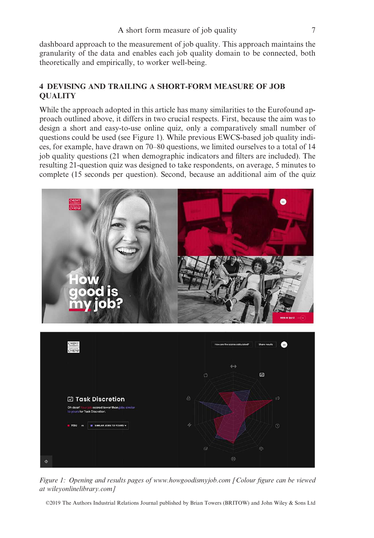dashboard approach to the measurement of job quality. This approach maintains the granularity of the data and enables each job quality domain to be connected, both theoretically and empirically, to worker well-being.

# 4 DEVISING AND TRAILING A SHORT-FORM MEASURE OF JOB **QUALITY**

While the approach adopted in this article has many similarities to the Eurofound approach outlined above, it differs in two crucial respects. First, because the aim was to design a short and easy-to-use online quiz, only a comparatively small number of questions could be used (see Figure 1). While previous EWCS-based job quality indices, for example, have drawn on 70–80 questions, we limited ourselves to a total of 14 job quality questions (21 when demographic indicators and filters are included). The resulting 21-question quiz was designed to take respondents, on average, 5 minutes to complete (15 seconds per question). Second, because an additional aim of the quiz



*Figure 1: Opening and results pages of [www.howgoodismyjob.com](http://www.howgoodismyjob.com) [Colour* fi*gure can be viewed at [wileyonlinelibrary.com](http://wileyonlinelibrary.com)]*

©2019 The Authors Industrial Relations Journal published by Brian Towers (BRITOW) and John Wiley & Sons Ltd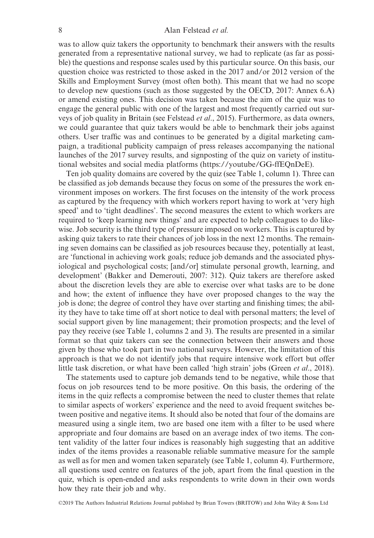was to allow quiz takers the opportunity to benchmark their answers with the results generated from a representative national survey, we had to replicate (as far as possible) the questions and response scales used by this particular source. On this basis, our question choice was restricted to those asked in the 2017 and/or 2012 version of the Skills and Employment Survey (most often both). This meant that we had no scope to develop new questions (such as those suggested by the OECD, 2017: Annex 6.A) or amend existing ones. This decision was taken because the aim of the quiz was to engage the general public with one of the largest and most frequently carried out surveys of job quality in Britain (see Felstead *et al*., 2015). Furthermore, as data owners, we could guarantee that quiz takers would be able to benchmark their jobs against others. User traffic was and continues to be generated by a digital marketing campaign, a traditional publicity campaign of press releases accompanying the national launches of the 2017 survey results, and signposting of the quiz on variety of institutional websites and social media platforms ([https://youtube/GG-ffEQnDeE\)](https://youtube/GG-ffEQnDeE).

Ten job quality domains are covered by the quiz (see Table 1, column 1). Three can be classified as job demands because they focus on some of the pressures the work environment imposes on workers. The first focuses on the intensity of the work process as captured by the frequency with which workers report having to work at 'very high speed' and to 'tight deadlines'. The second measures the extent to which workers are required to 'keep learning new things' and are expected to help colleagues to do likewise. Job security is the third type of pressure imposed on workers. This is captured by asking quiz takers to rate their chances of job loss in the next 12 months. The remaining seven domains can be classified as job resources because they, potentially at least, are 'functional in achieving work goals; reduce job demands and the associated physiological and psychological costs; [and/or] stimulate personal growth, learning, and development' (Bakker and Demerouti, 2007: 312). Quiz takers are therefore asked about the discretion levels they are able to exercise over what tasks are to be done and how; the extent of influence they have over proposed changes to the way the job is done; the degree of control they have over starting and finishing times; the ability they have to take time off at short notice to deal with personal matters; the level of social support given by line management; their promotion prospects; and the level of pay they receive (see Table 1, columns 2 and 3). The results are presented in a similar format so that quiz takers can see the connection between their answers and those given by those who took part in two national surveys. However, the limitation of this approach is that we do not identify jobs that require intensive work effort but offer little task discretion, or what have been called 'high strain' jobs (Green *et al*., 2018).

The statements used to capture job demands tend to be negative, while those that focus on job resources tend to be more positive. On this basis, the ordering of the items in the quiz reflects a compromise between the need to cluster themes that relate to similar aspects of workers' experience and the need to avoid frequent switches between positive and negative items. It should also be noted that four of the domains are measured using a single item, two are based one item with a filter to be used where appropriate and four domains are based on an average index of two items. The content validity of the latter four indices is reasonably high suggesting that an additive index of the items provides a reasonable reliable summative measure for the sample as well as for men and women taken separately (see Table 1, column 4). Furthermore, all questions used centre on features of the job, apart from the final question in the quiz, which is open-ended and asks respondents to write down in their own words how they rate their job and why.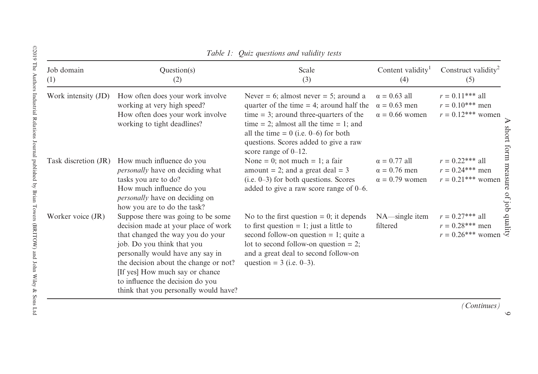| Job domain<br>(1)    | Question(s)<br>(2)                                                                                                                                                                                                                                                                                                                       | Scale<br>(3)                                                                                                                                                                                                                                                                          | Content validity <sup>1</sup><br>(4)                                | Construct validity <sup>2</sup><br>(5)                                                                                                                                |
|----------------------|------------------------------------------------------------------------------------------------------------------------------------------------------------------------------------------------------------------------------------------------------------------------------------------------------------------------------------------|---------------------------------------------------------------------------------------------------------------------------------------------------------------------------------------------------------------------------------------------------------------------------------------|---------------------------------------------------------------------|-----------------------------------------------------------------------------------------------------------------------------------------------------------------------|
| Work intensity (JD)  | How often does your work involve<br>working at very high speed?<br>How often does your work involve<br>working to tight deadlines?                                                                                                                                                                                                       | Never = 6; almost never = 5; around a<br>quarter of the time $= 4$ ; around half the<br>time $=$ 3; around three-quarters of the<br>time = 2; almost all the time = 1; and<br>all the time $= 0$ (i.e. 0–6) for both<br>questions. Scores added to give a raw<br>score range of 0-12. | $\alpha = 0.63$ all<br>$\alpha = 0.63$ men<br>$\alpha = 0.66$ women | $r = 0.11***$ all<br>$r = 0.10***$ men<br>$r = 0.12***$ women                                                                                                         |
| Task discretion (JR) | How much influence do you<br><i>personally</i> have on deciding what<br>tasks you are to do?<br>How much influence do you<br><i>personally</i> have on deciding on<br>how you are to do the task?                                                                                                                                        | None = 0; not much = 1; a fair<br>amount = 2; and a great deal = $3$<br>$(i.e. 0-3)$ for both questions. Scores<br>added to give a raw score range of 0-6.                                                                                                                            | $\alpha = 0.77$ all<br>$\alpha = 0.76$ men<br>$\alpha = 0.79$ women | $r = 0.22***$ all<br>$r = 0.24***$ men<br>$r = 0.21***$ women die stag of order<br>$r = 0.27***$ all<br>$r = 0.27***$ all<br>$r = 0.28***$ men<br>$r = 0.26***$ women |
| Worker voice (JR)    | Suppose there was going to be some<br>decision made at your place of work<br>that changed the way you do your<br>job. Do you think that you<br>personally would have any say in<br>the decision about the change or not?<br>[If yes] How much say or chance<br>to influence the decision do you<br>think that you personally would have? | No to the first question $= 0$ ; it depends<br>to first question $= 1$ ; just a little to<br>second follow-on question $= 1$ ; quite a<br>lot to second follow-on question $= 2$ ;<br>and a great deal to second follow-on<br>question = $3$ (i.e. 0–3).                              | NA-single item<br>filtered                                          |                                                                                                                                                                       |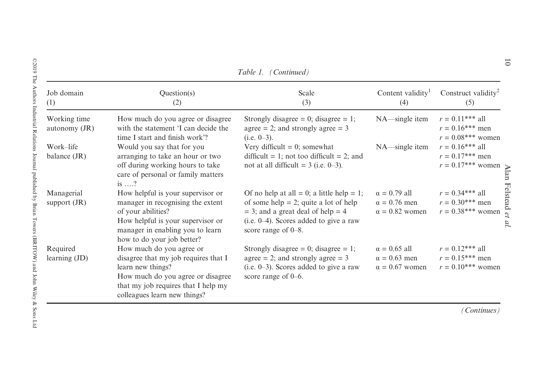| (1) | Job domain                    |
|-----|-------------------------------|
|     | Working time<br>autonomy (JR) |
|     | Work-life<br>balance (JR)     |
|     | Managerial<br>support (JR)    |
|     | Required<br>learning (JD)     |

©2019 The Authors Industrial Relations Journal published by Brian Towers (BRITOW) and John Wiley & Sons Ltd ©2019 The Authors Industrial Relations Journal published by Brian Towers (BRITOW) and John Wiley & Sons Ltd

*Table 1. (Continued)*

|                              |                                                                                                                                                                                                     | Table 1. (Continued)                                                                                                                                                                                  |                                                                     |                                                                                    | $\overline{5}$     |
|------------------------------|-----------------------------------------------------------------------------------------------------------------------------------------------------------------------------------------------------|-------------------------------------------------------------------------------------------------------------------------------------------------------------------------------------------------------|---------------------------------------------------------------------|------------------------------------------------------------------------------------|--------------------|
| o domain                     | Question(s)<br>(2)                                                                                                                                                                                  | Scale<br>(3)                                                                                                                                                                                          | Content validity <sup>1</sup><br>(4)                                | Construct validity <sup>2</sup><br>(5)                                             |                    |
| orking time<br>tonomy $(JR)$ | How much do you agree or disagree<br>with the statement 'I can decide the<br>time I start and finish work?                                                                                          | Strongly disagree = 0; disagree = 1;<br>agree = 2; and strongly agree = $3$<br>$(i.e. 0-3).$                                                                                                          | NA-single item                                                      | $r = 0.11***$ all<br>$r = 0.16***$ men<br>$r = 0.08***$ women                      |                    |
| ork–life<br>lance $(JR)$     | Would you say that for you<br>arranging to take an hour or two<br>off during working hours to take<br>care of personal or family matters<br>is $\dots$ ?                                            | Very difficult = 0; somewhat<br>difficult = 1; not too difficult = 2; and<br>not at all difficult = $3$ (i.e. 0–3).                                                                                   | $NA$ —single item                                                   | $r = 0.16***$ all<br>= 0.17*** $\lim_{r = 0.17^{***}}$ women $\sum_{n=0}^{\infty}$ |                    |
| anagerial<br>port (JR)       | How helpful is your supervisor or<br>manager in recognising the extent<br>of your abilities?<br>How helpful is your supervisor or<br>manager in enabling you to learn<br>how to do your job better? | Of no help at all = 0; a little help = 1;<br>of some help $= 2$ ; quite a lot of help<br>$=$ 3; and a great deal of help $=$ 4<br>$(i.e. 0-4)$ . Scores added to give a raw<br>score range of $0-8$ . | $\alpha = 0.79$ all<br>$\alpha = 0.76$ men<br>$\alpha = 0.82$ women | $r = 0.34***$ all<br>$r = 0.30***$ men<br>$r = 0.38***$ women                      | Felstead et<br>al. |
| quired<br>rning (JD)         | How much do you agree or<br>disagree that my job requires that I<br>learn new things?<br>How much do you agree or disagree<br>that my job requires that I help my<br>colleagues learn new things?   | Strongly disagree = 0; disagree = 1;<br>agree = 2; and strongly agree = $3$<br>$(i.e. 0-3)$ . Scores added to give a raw<br>score range of 0-6.                                                       | $\alpha = 0.65$ all<br>$\alpha = 0.63$ men<br>$\alpha = 0.67$ women | $r = 0.12***$ all<br>$r = 0.15***$ men<br>$r = 0.10***$ women                      |                    |

*(Continues)*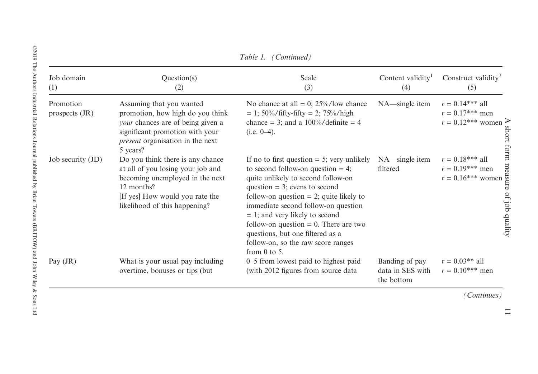| Job domain<br>(1)           | Question(s)<br>(2)                                                                                                                                                                          | Scale<br>(3)                                                                                                                                                                                                                                                                                                                                                                                                                         | Content validity <sup>1</sup><br>(4)             | Construct validity <sup>2</sup><br>(5)                                                                                                                                                |
|-----------------------------|---------------------------------------------------------------------------------------------------------------------------------------------------------------------------------------------|--------------------------------------------------------------------------------------------------------------------------------------------------------------------------------------------------------------------------------------------------------------------------------------------------------------------------------------------------------------------------------------------------------------------------------------|--------------------------------------------------|---------------------------------------------------------------------------------------------------------------------------------------------------------------------------------------|
| Promotion<br>prospects (JR) | Assuming that you wanted<br>promotion, how high do you think<br>your chances are of being given a<br>significant promotion with your<br><i>present</i> organisation in the next<br>5 years? | No chance at all = 0; $25\%/$ low chance<br>$= 1$ ; 50%/fifty-fifty $= 2$ ; 75%/high<br>chance = 3; and a $100\%$ /definite = 4<br>$(i.e. 0-4).$                                                                                                                                                                                                                                                                                     | $NA$ —single item                                | $r = 0.14***$ all<br>$r = 0.17***$ men<br>$r = 0.12***$ women<br>short form                                                                                                           |
| Job security (JD)           | Do you think there is any chance<br>at all of you losing your job and<br>becoming unemployed in the next<br>12 months?<br>[If yes] How would you rate the<br>likelihood of this happening?  | If no to first question $= 5$ ; very unlikely<br>to second follow-on question $= 4$ ;<br>quite unlikely to second follow-on<br>question = $3$ ; evens to second<br>follow-on question $= 2$ ; quite likely to<br>immediate second follow-on question<br>$= 1$ ; and very likely to second<br>follow-on question $= 0$ . There are two<br>questions, but one filtered as a<br>follow-on, so the raw score ranges<br>from $0$ to $5$ . | NA-single item<br>filtered                       | $r = 0.18***$ all<br>$r = 0.18***$ all<br>$r = 0.19***$ men<br>$r = 0.16***$ women as a solution<br>$\frac{1}{2}$ of $\frac{1}{2}$ of $\frac{1}{2}$ of $\frac{1}{2}$ of $\frac{1}{2}$ |
| Pay $(JR)$                  | What is your usual pay including<br>overtime, bonuses or tips (but                                                                                                                          | 0–5 from lowest paid to highest paid<br>(with 2012 figures from source data                                                                                                                                                                                                                                                                                                                                                          | Banding of pay<br>data in SES with<br>the bottom | $r = 0.03**$ all<br>$r = 0.10***$ men                                                                                                                                                 |

*Table 1. (Continued)*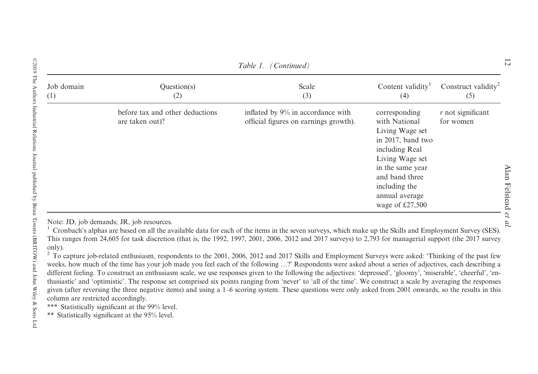| Table 1. (Continued) |                                                    |                                                                            |                                                                                                                                                                                                           |                                                    |
|----------------------|----------------------------------------------------|----------------------------------------------------------------------------|-----------------------------------------------------------------------------------------------------------------------------------------------------------------------------------------------------------|----------------------------------------------------|
| Job domain<br>(1)    | Question(s)<br>(2)                                 | Scale<br>(3)                                                               | Content validity <sup>1</sup><br>(4)                                                                                                                                                                      | Construct validity <sup>2</sup><br>(5)             |
|                      | before tax and other deductions<br>are taken out)? | inflated by 9% in accordance with<br>official figures on earnings growth). | corresponding<br>with National<br>Living Wage set<br>in 2017, band two<br>including Real<br>Living Wage set<br>in the same year<br>and band three<br>including the<br>annual average<br>wage of $£27,500$ | $r$ not significant<br>for women<br>en<br>Felstead |
|                      | Note: JD, job demands; JR, job resources.          |                                                                            |                                                                                                                                                                                                           | Э                                                  |

<sup>1</sup> Cronbach's alphas are based on all the available data for each of the items in the seven surveys, which make up the Skills and Employment Survey (SES). This ranges from 24,605 for task discretion (that is, the 1992, 1997, 2001, 2006, 2012 and 2017 surveys) to 2,793 for managerial support (the 2017 surveyonly).

 $2$  To capture job-related enthusiasm, respondents to the 2001, 2006, 2012 and 2017 Skills and Employment Surveys were asked: 'Thinking of the past few weeks, how much of the time has your job made you feel each of the following…?' Respondents were asked about <sup>a</sup> series of adjectives, each describing <sup>a</sup> different feeling. To construct an enthusiasm scale, we use responses given to the following the adjectives: 'depressed', 'gloomy', 'miserable', 'cheerful', 'enthusiastic' and 'optimistic'. The response set comprised six points ranging from 'never' to 'all of the time'. We construct <sup>a</sup> scale by averaging the responses given (after reversing the three negative items) and using <sup>a</sup> 1–6 scoring system. These questions were only asked from 2001 onwards, so the results in thiscolumn are restricted accordingly.

\*\*\* Statistically significant at the 99% level.

\*\* Statistically significant at the 95% level.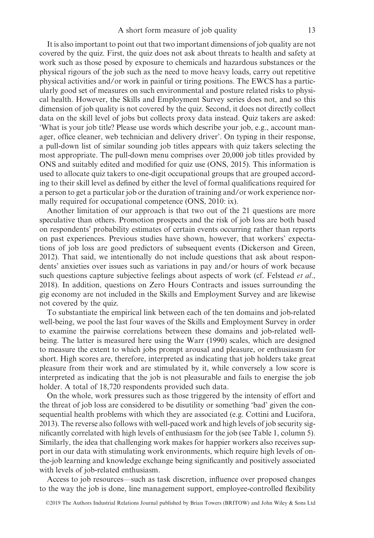It is also important to point out that two important dimensions of job quality are not covered by the quiz. First, the quiz does not ask about threats to health and safety at work such as those posed by exposure to chemicals and hazardous substances or the physical rigours of the job such as the need to move heavy loads, carry out repetitive physical activities and/or work in painful or tiring positions. The EWCS has a particularly good set of measures on such environmental and posture related risks to physical health. However, the Skills and Employment Survey series does not, and so this dimension of job quality is not covered by the quiz. Second, it does not directly collect data on the skill level of jobs but collects proxy data instead. Quiz takers are asked: 'What is your job title? Please use words which describe your job, e.g., account manager, office cleaner, web technician and delivery driver'. On typing in their response, a pull-down list of similar sounding job titles appears with quiz takers selecting the most appropriate. The pull-down menu comprises over 20,000 job titles provided by ONS and suitably edited and modified for quiz use (ONS, 2015). This information is used to allocate quiz takers to one-digit occupational groups that are grouped according to their skill level as defined by either the level of formal qualifications required for a person to get a particular job or the duration of training and/or work experience normally required for occupational competence (ONS, 2010: ix).

Another limitation of our approach is that two out of the 21 questions are more speculative than others. Promotion prospects and the risk of job loss are both based on respondents' probability estimates of certain events occurring rather than reports on past experiences. Previous studies have shown, however, that workers' expectations of job loss are good predictors of subsequent events (Dickerson and Green, 2012). That said, we intentionally do not include questions that ask about respondents' anxieties over issues such as variations in pay and/or hours of work because such questions capture subjective feelings about aspects of work (cf. Felstead *et al*., 2018). In addition, questions on Zero Hours Contracts and issues surrounding the gig economy are not included in the Skills and Employment Survey and are likewise not covered by the quiz.

To substantiate the empirical link between each of the ten domains and job-related well-being, we pool the last four waves of the Skills and Employment Survey in order to examine the pairwise correlations between these domains and job-related wellbeing. The latter is measured here using the Warr (1990) scales, which are designed to measure the extent to which jobs prompt arousal and pleasure, or enthusiasm for short. High scores are, therefore, interpreted as indicating that job holders take great pleasure from their work and are stimulated by it, while conversely a low score is interpreted as indicating that the job is not pleasurable and fails to energise the job holder. A total of 18,720 respondents provided such data.

On the whole, work pressures such as those triggered by the intensity of effort and the threat of job loss are considered to be disutility or something 'bad' given the consequential health problems with which they are associated (e.g. Cottini and Lucifora, 2013). The reverse also follows with well-paced work and high levels of job security significantly correlated with high levels of enthusiasm for the job (see Table 1, column 5). Similarly, the idea that challenging work makes for happier workers also receives support in our data with stimulating work environments, which require high levels of onthe-job learning and knowledge exchange being significantly and positively associated with levels of job-related enthusiasm.

Access to job resources—such as task discretion, influence over proposed changes to the way the job is done, line management support, employee-controlled flexibility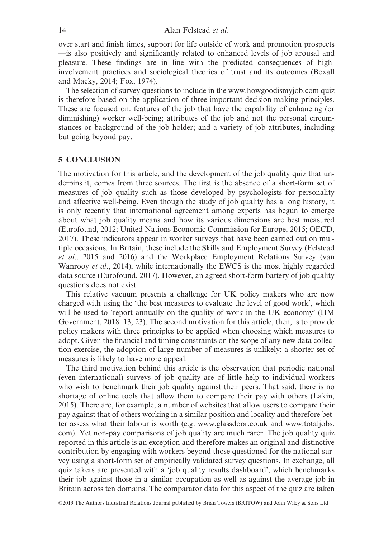over start and finish times, support for life outside of work and promotion prospects —is also positively and significantly related to enhanced levels of job arousal and pleasure. These findings are in line with the predicted consequences of highinvolvement practices and sociological theories of trust and its outcomes (Boxall and Macky, 2014; Fox, 1974).

The selection of survey questions to include in the [www.howgoodismyjob.com](http://www.howgoodismyjob.com) quiz is therefore based on the application of three important decision-making principles. These are focused on: features of the job that have the capability of enhancing (or diminishing) worker well-being; attributes of the job and not the personal circumstances or background of the job holder; and a variety of job attributes, including but going beyond pay.

#### 5 CONCLUSION

The motivation for this article, and the development of the job quality quiz that underpins it, comes from three sources. The first is the absence of a short-form set of measures of job quality such as those developed by psychologists for personality and affective well-being. Even though the study of job quality has a long history, it is only recently that international agreement among experts has begun to emerge about what job quality means and how its various dimensions are best measured (Eurofound, 2012; United Nations Economic Commission for Europe, 2015; OECD, 2017). These indicators appear in worker surveys that have been carried out on multiple occasions. In Britain, these include the Skills and Employment Survey (Felstead *et al*., 2015 and 2016) and the Workplace Employment Relations Survey (van Wanrooy *et al*., 2014), while internationally the EWCS is the most highly regarded data source (Eurofound, 2017). However, an agreed short-form battery of job quality questions does not exist.

This relative vacuum presents a challenge for UK policy makers who are now charged with using the 'the best measures to evaluate the level of good work', which will be used to 'report annually on the quality of work in the UK economy' (HM Government, 2018: 13, 23). The second motivation for this article, then, is to provide policy makers with three principles to be applied when choosing which measures to adopt. Given the financial and timing constraints on the scope of any new data collection exercise, the adoption of large number of measures is unlikely; a shorter set of measures is likely to have more appeal.

The third motivation behind this article is the observation that periodic national (even international) surveys of job quality are of little help to individual workers who wish to benchmark their job quality against their peers. That said, there is no shortage of online tools that allow them to compare their pay with others (Lakin, 2015). There are, for example, a number of websites that allow users to compare their pay against that of others working in a similar position and locality and therefore better assess what their labour is worth (e.g. [www.glassdoor.co.uk](http://www.glassdoor.co.uk) and [www.totaljobs.](http://www.totaljobs.com) [com\)](http://www.totaljobs.com). Yet non-pay comparisons of job quality are much rarer. The job quality quiz reported in this article is an exception and therefore makes an original and distinctive contribution by engaging with workers beyond those questioned for the national survey using a short-form set of empirically validated survey questions. In exchange, all quiz takers are presented with a 'job quality results dashboard', which benchmarks their job against those in a similar occupation as well as against the average job in Britain across ten domains. The comparator data for this aspect of the quiz are taken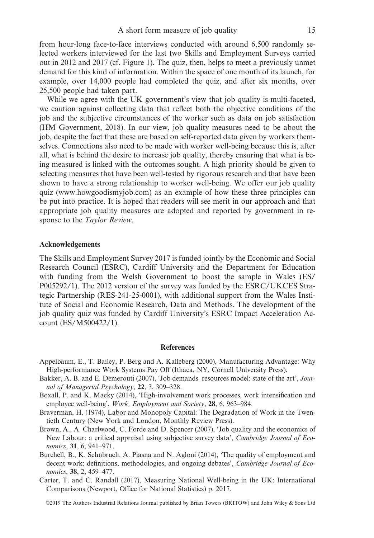from hour-long face-to-face interviews conducted with around 6,500 randomly selected workers interviewed for the last two Skills and Employment Surveys carried out in 2012 and 2017 (cf. Figure 1). The quiz, then, helps to meet a previously unmet demand for this kind of information. Within the space of one month of its launch, for example, over 14,000 people had completed the quiz, and after six months, over 25,500 people had taken part.

While we agree with the UK government's view that job quality is multi-faceted, we caution against collecting data that reflect both the objective conditions of the job and the subjective circumstances of the worker such as data on job satisfaction (HM Government, 2018). In our view, job quality measures need to be about the job, despite the fact that these are based on self-reported data given by workers themselves. Connections also need to be made with worker well-being because this is, after all, what is behind the desire to increase job quality, thereby ensuring that what is being measured is linked with the outcomes sought. A high priority should be given to selecting measures that have been well-tested by rigorous research and that have been shown to have a strong relationship to worker well-being. We offer our job quality quiz ([www.howgoodismyjob.com](http://www.howgoodismyjob.com)) as an example of how these three principles can be put into practice. It is hoped that readers will see merit in our approach and that appropriate job quality measures are adopted and reported by government in response to the *Taylor Review*.

#### Acknowledgements

The Skills and Employment Survey 2017 is funded jointly by the Economic and Social Research Council (ESRC), Cardiff University and the Department for Education with funding from the Welsh Government to boost the sample in Wales (ES/ P005292/1). The 2012 version of the survey was funded by the ESRC/UKCES Strategic Partnership (RES-241-25-0001), with additional support from the Wales Institute of Social and Economic Research, Data and Methods. The development of the job quality quiz was funded by Cardiff University's ESRC Impact Acceleration Account (ES/M500422/1).

#### References

- Appelbaum, E., T. Bailey, P. Berg and A. Kalleberg (2000), Manufacturing Advantage: Why High-performance Work Systems Pay Off (Ithaca, NY, Cornell University Press).
- Bakker, A. B. and E. Demerouti (2007), 'Job demands–resources model: state of the art', *Journal of Managerial Psychology*, 22, 3, 309–328.
- Boxall, P. and K. Macky (2014), 'High-involvement work processes, work intensification and employee well-being', *Work, Employment and Society*, 28, 6, 963–984.
- Braverman, H. (1974), Labor and Monopoly Capital: The Degradation of Work in the Twentieth Century (New York and London, Monthly Review Press).
- Brown, A., A. Charlwood, C. Forde and D. Spencer (2007), 'Job quality and the economics of New Labour: a critical appraisal using subjective survey data', *Cambridge Journal of Economics*, 31, 6, 941–971.
- Burchell, B., K. Sehnbruch, A. Piasna and N. Agloni (2014), 'The quality of employment and decent work: definitions, methodologies, and ongoing debates', *Cambridge Journal of Economics*, 38, 2, 459–477.
- Carter, T. and C. Randall (2017), Measuring National Well-being in the UK: International Comparisons (Newport, Office for National Statistics) p. 2017.

©2019 The Authors Industrial Relations Journal published by Brian Towers (BRITOW) and John Wiley & Sons Ltd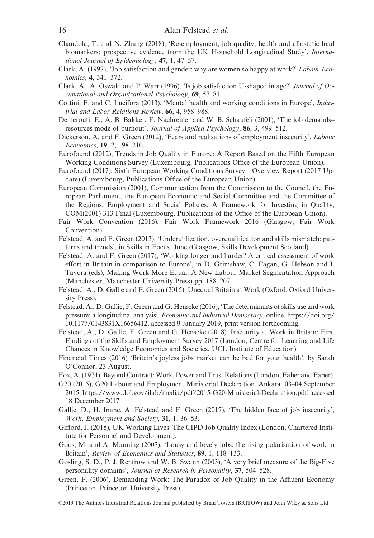- Chandola, T. and N. Zhang (2018), 'Re-employment, job quality, health and allostatic load biomarkers: prospective evidence from the UK Household Longitudinal Study', *International Journal of Epidemiology*, 47, 1, 47–57.
- Clark, A. (1997), 'Job satisfaction and gender: why are women so happy at work?' *Labour Economics*, 4, 341–372.
- Clark, A., A. Oswald and P. Warr (1996), 'Is job satisfaction U-shaped in age?' *Journal of Occupational and Organizational Psychology*, 69, 57–81.
- Cottini, E. and C. Lucifora (2013), 'Mental health and working conditions in Europe', *Industrial and Labor Relations Review*, 66, 4, 958–988.
- Demerouti, E., A. B. Bakker, F. Nachreiner and W. B. Schaufeli (2001), 'The job demands– resources mode of burnout', *Journal of Applied Psychology*, 86, 3, 499–512.
- Dickerson, A. and F. Green (2012), 'Fears and realisations of employment insecurity', *Labour Economics*, 19, 2, 198–210.
- Eurofound (2012), Trends in Job Quality in Europe: A Report Based on the Fifth European Working Conditions Survey (Luxembourg, Publications Office of the European Union).
- Eurofound (2017), Sixth European Working Conditions Survey—Overview Report (2017 Update) (Luxembourg, Publications Office of the European Union).
- European Commission (2001), Communication from the Commission to the Council, the European Parliament, the European Economic and Social Committee and the Committee of the Regions, Employment and Social Policies: A Framework for Investing in Quality, COM(2001) 313 Final (Luxembourg, Publications of the Office of the European Union).
- Fair Work Convention (2016), Fair Work Framework 2016 (Glasgow, Fair Work Convention).
- Felstead, A. and F. Green (2013), 'Underutilization, overqualification and skills mismatch: patterns and trends', in Skills in Focus, June (Glasgow, Skills Development Scotland).
- Felstead, A. and F. Green (2017), 'Working longer and harder? A critical assessment of work effort in Britain in comparison to Europe', in D. Grimshaw, C. Fagan, G. Hebson and I. Tavora (eds), Making Work More Equal: A New Labour Market Segmentation Approach (Manchester, Manchester University Press) pp. 188–207.
- Felstead, A., D. Gallie and F. Green (2015), Unequal Britain at Work (Oxford, Oxford University Press).
- Felstead, A., D. Gallie, F. Green and G. Henseke (2016), 'The determinants of skills use and work pressure: a longitudinal analysis', *Economic and Industrial Democracy*, online, [https://doi.org/](https://doi.org/10.1177/0143831X16656412) [10.1177/0143831X16656412](https://doi.org/10.1177/0143831X16656412), accessed 9 January 2019, print version forthcoming.
- Felstead, A., D. Gallie, F. Green and G. Henseke (2018), Insecurity at Work in Britain: First Findings of the Skills and Employment Survey 2017 (London, Centre for Learning and Life Chances in Knowledge Economies and Societies, UCL Institute of Education).
- Financial Times (2016) 'Britain's joyless jobs market can be bad for your health', by Sarah O'Connor, 23 August.
- Fox, A. (1974), Beyond Contract: Work, Power and Trust Relations (London, Faber and Faber).
- G20 (2015), G20 Labour and Employment Ministerial Declaration, Ankara, 03–04 September 2015, [https://www.dol.gov/ilab/media/pdf/2015-G20-Ministerial-Declaration.pdf,](https://www.dol.gov/ilab/media/pdf/2015-G20-Ministerial-Declaration.pdf) accessed 18 December 2017.
- Gallie, D., H. Inanc, A. Felstead and F. Green (2017), 'The hidden face of job insecurity', *Work, Employment and Society*, 31, 1, 36–53.
- Gifford, J. (2018), UK Working Lives: The CIPD Job Quality Index (London, Chartered Institute for Personnel and Development).
- Goos, M. and A. Manning (2007), 'Lousy and lovely jobs: the rising polarisation of work in Britain', *Review of Economics and Statistics*, 89, 1, 118–133.
- Gosling, S. D., P. J. Renfrow and W. B. Swann (2003), 'A very brief measure of the Big-Five personality domains', *Journal of Research in Personality*, 37, 504–528.
- Green, F. (2006), Demanding Work: The Paradox of Job Quality in the Affluent Economy (Princeton, Princeton University Press).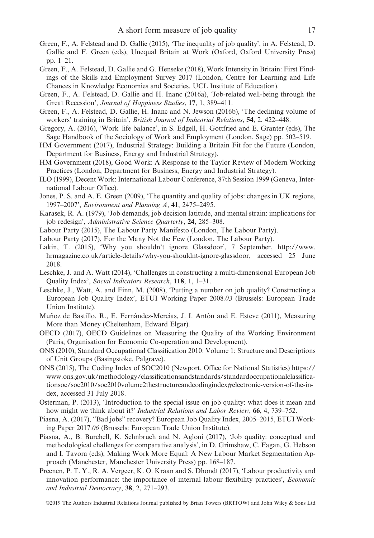- Green, F., A. Felstead and D. Gallie (2015), 'The inequality of job quality', in A. Felstead, D. Gallie and F. Green (eds), Unequal Britain at Work (Oxford, Oxford University Press) pp. 1–21.
- Green, F., A. Felstead, D. Gallie and G. Henseke (2018), Work Intensity in Britain: First Findings of the Skills and Employment Survey 2017 (London, Centre for Learning and Life Chances in Knowledge Economies and Societies, UCL Institute of Education).
- Green, F., A. Felstead, D. Gallie and H. Inanc (2016a), 'Job-related well-being through the Great Recession', *Journal of Happiness Studies*, 17, 1, 389–411.
- Green, F., A. Felstead, D. Gallie, H. Inanc and N. Jewson (2016b), 'The declining volume of workers' training in Britain', *British Journal of Industrial Relations*, 54, 2, 422–448.
- Gregory, A. (2016), 'Work–life balance', in S. Edgell, H. Gottfried and E. Granter (eds), The Sage Handbook of the Sociology of Work and Employment (London, Sage) pp. 502–519.
- HM Government (2017), Industrial Strategy: Building a Britain Fit for the Future (London, Department for Business, Energy and Industrial Strategy).
- HM Government (2018), Good Work: A Response to the Taylor Review of Modern Working Practices (London, Department for Business, Energy and Industrial Strategy).
- ILO (1999), Decent Work: International Labour Conference, 87th Session 1999 (Geneva, International Labour Office).
- Jones, P. S. and A. E. Green (2009), 'The quantity and quality of jobs: changes in UK regions, 1997–2007', *Environment and Planning A*, 41, 2475–2495.
- Karasek, R. A. (1979), 'Job demands, job decision latitude, and mental strain: implications for job redesign', *Administrative Science Quarterly*, 24, 285–308.
- Labour Party (2015), The Labour Party Manifesto (London, The Labour Party).
- Labour Party (2017), For the Many Not the Few (London, The Labour Party).
- Lakin, T. (2015), 'Why you shouldn't ignore Glassdoor', 7 September, [http://www.](http://www.hrmagazine.co.uk/article-details/why-you-shouldnt-ignore-glassdoor) [hrmagazine.co.uk/article-details/why-you-shouldnt-ignore-glassdoor,](http://www.hrmagazine.co.uk/article-details/why-you-shouldnt-ignore-glassdoor) accessed 25 June 2018.
- Leschke, J. and A. Watt (2014), 'Challenges in constructing a multi-dimensional European Job Quality Index', *Social Indicators Research*, 118, 1, 1–31.
- Leschke, J., Watt, A. and Finn, M. (2008), 'Putting a number on job quality? Constructing a European Job Quality Index', ETUI Working Paper 2008*.03* (Brussels: European Trade Union Institute).
- Muñoz de Bastillo, R., E. Fernández-Mercias, J. I. Antón and E. Esteve (2011), Measuring More than Money (Cheltenham, Edward Elgar).
- OECD (2017), OECD Guidelines on Measuring the Quality of the Working Environment (Paris, Organisation for Economic Co-operation and Development).
- ONS (2010), Standard Occupational Classification 2010: Volume 1: Structure and Descriptions of Unit Groups (Basingstoke, Palgrave).
- ONS (2015), The Coding Index of SOC2010 (Newport, Office for National Statistics) [https://](https://www.ons.gov.uk/methodology/classificationsandstandards/standardoccupationalclassificationsoc/soc2010/soc2010volume2thestructureandcodingindex#electronic-version-of-the-index) www.ons.gov.uk/methodology/classifi[cationsandstandards/standardoccupationalclassi](https://www.ons.gov.uk/methodology/classificationsandstandards/standardoccupationalclassificationsoc/soc2010/soc2010volume2thestructureandcodingindex#electronic-version-of-the-index)fica[tionsoc/soc2010/soc2010volume2thestructureandcodingindex#electronic-version-of-the-in](https://www.ons.gov.uk/methodology/classificationsandstandards/standardoccupationalclassificationsoc/soc2010/soc2010volume2thestructureandcodingindex#electronic-version-of-the-index)[dex](https://www.ons.gov.uk/methodology/classificationsandstandards/standardoccupationalclassificationsoc/soc2010/soc2010volume2thestructureandcodingindex#electronic-version-of-the-index), accessed 31 July 2018.
- Osterman, P. (2013), 'Introduction to the special issue on job quality: what does it mean and how might we think about it?' *Industrial Relations and Labor Review*, 66, 4, 739–752.
- Piasna, A. (2017), "Bad jobs" recovery? European Job Quality Index, 2005–2015, ETUI Working Paper 2017*.06* (Brussels: European Trade Union Institute).
- Piasna, A., B. Burchell, K. Sehnbruch and N. Agloni (2017), 'Job quality: conceptual and methodological challenges for comparative analysis', in D. Grimshaw, C. Fagan, G. Hebson and I. Tavora (eds), Making Work More Equal: A New Labour Market Segmentation Approach (Manchester, Manchester University Press) pp. 168–187.
- Preenen, P. T. Y., R. A. Vergeer, K. O. Kraan and S. Dhondt (2017), 'Labour productivity and innovation performance: the importance of internal labour flexibility practices', *Economic and Industrial Democracy*, 38, 2, 271–293.